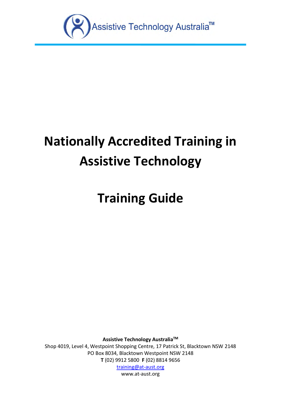

# **Nationally Accredited Training in Assistive Technology**

# **Training Guide**

**Assistive Technology AustraliaTM**

Shop 4019, Level 4, Westpoint Shopping Centre, 17 Patrick St, Blacktown NSW 2148 PO Box 8034, Blacktown Westpoint NSW 2148 **T** (02) 9912 5800 **F** (02) 8814 9656

[training@at-aust.org](mailto:training@at-aust.org)

[www.at-aust.org](http://www.at-aust.org/)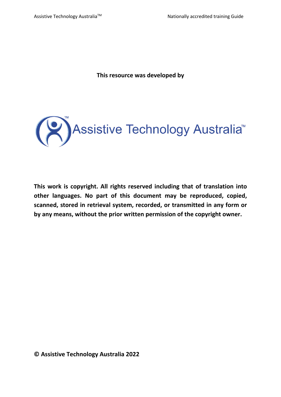**This resource was developed by** 



**This work is copyright. All rights reserved including that of translation into other languages. No part of this document may be reproduced, copied, scanned, stored in retrieval system, recorded, or transmitted in any form or by any means, without the prior written permission of the copyright owner.**

**© Assistive Technology Australia 2022**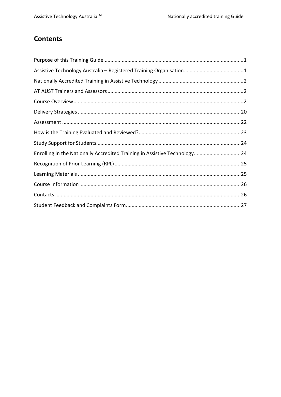# **Contents**

| Enrolling in the Nationally Accredited Training in Assistive Technology24 |  |
|---------------------------------------------------------------------------|--|
|                                                                           |  |
|                                                                           |  |
|                                                                           |  |
|                                                                           |  |
|                                                                           |  |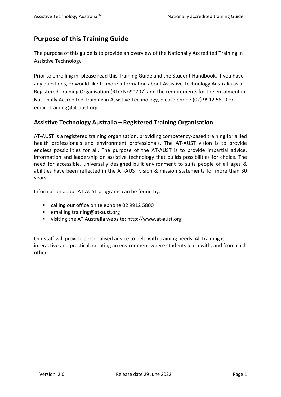# <span id="page-3-0"></span>**Purpose of this Training Guide**

The purpose of this guide is to provide an overview of the Nationally Accredited Training in Assistive Technology

Prior to enrolling in, please read this Training Guide and the Student Handbook. If you have any questions, or would like to more information about Assistive Technology Australia as a Registered Training Organisation (RTO No90707) and the requirements for the enrolment in Nationally Accredited Training in Assistive Technology, please phone (02) 9912 5800 or email: training@at-aust.org

## <span id="page-3-1"></span>**Assistive Technology Australia – Registered Training Organisation**

AT-AUST is a registered training organization, providing competency-based training for allied health professionals and environment professionals. The AT-AUST vision is to provide endless possibilities for all. The purpose of the AT-AUST is to provide impartial advice, information and leadership on assistive technology that builds possibilities for choice. The need for accessible, universally designed built environment to suits people of all ages & abilities have been reflected in the AT-AUST vision & mission statements for more than 30 years.

Information about AT AUST programs can be found by:

- calling our office on telephone 02 9912 5800
- emailing training@at-aust.org
- visiting the AT Australia website[: http://www.at-aust.org](http://www.at-aust.org/)

Our staff will provide personalised advice to help with training needs. All training is interactive and practical, creating an environment where students learn with, and from each other.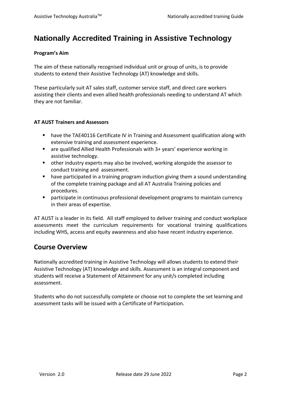# <span id="page-4-0"></span>**Nationally Accredited Training in Assistive Technology**

#### **Program's Aim**

The aim of these nationally recognised individual unit or group of units, is to provide students to extend their Assistive Technology (AT) knowledge and skills.

These particularly suit AT sales staff, customer service staff, and direct care workers assisting their clients and even allied health professionals needing to understand AT which they are not familiar.

### <span id="page-4-1"></span>**AT AUST Trainers and Assessors**

- **have the TAE40116 Certificate IV in Training and Assessment qualification along with** extensive training and assessment experience.
- are qualified Allied Health Professionals with 3+ years' experience working in assistive technology.
- other industry experts may also be involved, working alongside the assessor to conduct training and assessment.
- **•** have participated in a training program induction giving them a sound understanding of the complete training package and all AT Australia Training policies and procedures.
- participate in continuous professional development programs to maintain currency in their areas of expertise.

AT AUST is a leader in its field. All staff employed to deliver training and conduct workplace assessments meet the curriculum requirements for vocational training qualifications including WHS, access and equity awareness and also have recent industry experience.

# <span id="page-4-2"></span>**Course Overview**

Nationally accredited training in Assistive Technology will allows students to extend their Assistive Technology (AT) knowledge and skills. Assessment is an integral component and students will receive a Statement of Attainment for any unit/s completed including assessment.

Students who do not successfully complete or choose not to complete the set learning and assessment tasks will be issued with a Certificate of Participation.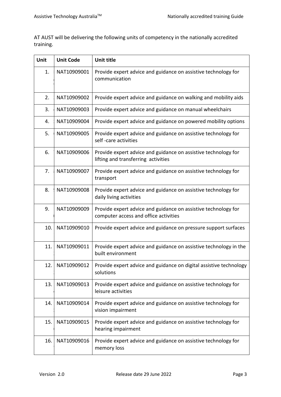AT AUST will be delivering the following units of competency in the nationally accredited training.

| <b>Unit</b> | <b>Unit Code</b> | Unit title                                                                                              |
|-------------|------------------|---------------------------------------------------------------------------------------------------------|
| 1.          | NAT10909001      | Provide expert advice and guidance on assistive technology for<br>communication                         |
| 2.          | NAT10909002      | Provide expert advice and guidance on walking and mobility aids                                         |
| 3.          | NAT10909003      | Provide expert advice and guidance on manual wheelchairs                                                |
| 4.          | NAT10909004      | Provide expert advice and guidance on powered mobility options                                          |
| 5.          | NAT10909005      | Provide expert advice and guidance on assistive technology for<br>self-care activities                  |
| 6.          | NAT10909006      | Provide expert advice and guidance on assistive technology for<br>lifting and transferring activities   |
| 7.          | NAT10909007      | Provide expert advice and guidance on assistive technology for<br>transport                             |
| 8.          | NAT10909008      | Provide expert advice and guidance on assistive technology for<br>daily living activities               |
| 9.          | NAT10909009      | Provide expert advice and guidance on assistive technology for<br>computer access and office activities |
| 10.         | NAT10909010      | Provide expert advice and guidance on pressure support surfaces                                         |
| 11.         | NAT10909011      | Provide expert advice and guidance on assistive technology in the<br>built environment                  |
| 12.         | NAT10909012      | Provide expert advice and guidance on digital assistive technology<br>solutions                         |
| 13.         | NAT10909013      | Provide expert advice and guidance on assistive technology for<br>leisure activities                    |
| 14.         | NAT10909014      | Provide expert advice and guidance on assistive technology for<br>vision impairment                     |
| 15.         | NAT10909015      | Provide expert advice and guidance on assistive technology for<br>hearing impairment                    |
| 16.         | NAT10909016      | Provide expert advice and guidance on assistive technology for<br>memory loss                           |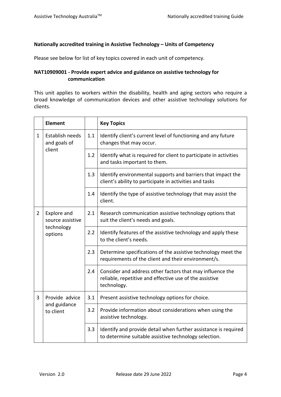### **Nationally accredited training in Assistive Technology – Units of Competency**

Please see below for list of key topics covered in each unit of competency.

### **NAT10909001 - Provide expert advice and guidance on assistive technology for communication**

This unit applies to workers within the disability, health and aging sectors who require a broad knowledge of communication devices and other assistive technology solutions for clients.

|                | <b>Element</b>                                           |     | <b>Key Topics</b>                                                                                                                   |
|----------------|----------------------------------------------------------|-----|-------------------------------------------------------------------------------------------------------------------------------------|
| 1.             | Establish needs<br>and goals of<br>client                | 1.1 | Identify client's current level of functioning and any future<br>changes that may occur.                                            |
|                |                                                          | 1.2 | Identify what is required for client to participate in activities<br>and tasks important to them.                                   |
|                |                                                          | 1.3 | Identify environmental supports and barriers that impact the<br>client's ability to participate in activities and tasks             |
|                |                                                          | 1.4 | Identify the type of assistive technology that may assist the<br>client.                                                            |
| $\overline{2}$ | Explore and<br>source assistive<br>technology<br>options | 2.1 | Research communication assistive technology options that<br>suit the client's needs and goals.                                      |
|                |                                                          | 2.2 | Identify features of the assistive technology and apply these<br>to the client's needs.                                             |
|                |                                                          | 2.3 | Determine specifications of the assistive technology meet the<br>requirements of the client and their environment/s.                |
|                |                                                          | 2.4 | Consider and address other factors that may influence the<br>reliable, repetitive and effective use of the assistive<br>technology. |
| 3              | Provide advice                                           | 3.1 | Present assistive technology options for choice.                                                                                    |
|                | and guidance<br>to client                                | 3.2 | Provide information about considerations when using the<br>assistive technology.                                                    |
|                |                                                          | 3.3 | Identify and provide detail when further assistance is required<br>to determine suitable assistive technology selection.            |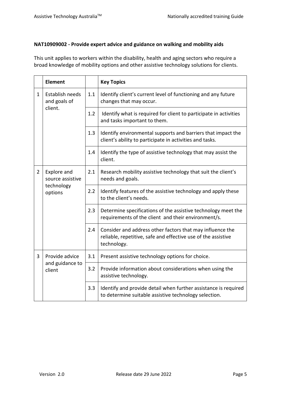## **NAT10909002 - Provide expert advice and guidance on walking and mobility aids**

This unit applies to workers within the disability, health and aging sectors who require a broad knowledge of mobility options and other assistive technology solutions for clients.

|                | <b>Element</b>                                           |     | <b>Key Topics</b>                                                                                                                         |
|----------------|----------------------------------------------------------|-----|-------------------------------------------------------------------------------------------------------------------------------------------|
| $\mathbf{1}$   | Establish needs<br>and goals of                          | 1.1 | Identify client's current level of functioning and any future<br>changes that may occur.                                                  |
|                | client.                                                  | 1.2 | Identify what is required for client to participate in activities<br>and tasks important to them.                                         |
|                |                                                          | 1.3 | Identify environmental supports and barriers that impact the<br>client's ability to participate in activities and tasks.                  |
|                |                                                          | 1.4 | Identify the type of assistive technology that may assist the<br>client.                                                                  |
| $\overline{2}$ | Explore and<br>source assistive<br>technology<br>options | 2.1 | Research mobility assistive technology that suit the client's<br>needs and goals.                                                         |
|                |                                                          | 2.2 | Identify features of the assistive technology and apply these<br>to the client's needs.                                                   |
|                |                                                          | 2.3 | Determine specifications of the assistive technology meet the<br>requirements of the client and their environment/s.                      |
|                |                                                          | 2.4 | Consider and address other factors that may influence the<br>reliable, repetitive, safe and effective use of the assistive<br>technology. |
| 3              | Provide advice                                           | 3.1 | Present assistive technology options for choice.                                                                                          |
|                | and guidance to<br>client                                | 3.2 | Provide information about considerations when using the<br>assistive technology.                                                          |
|                |                                                          | 3.3 | Identify and provide detail when further assistance is required<br>to determine suitable assistive technology selection.                  |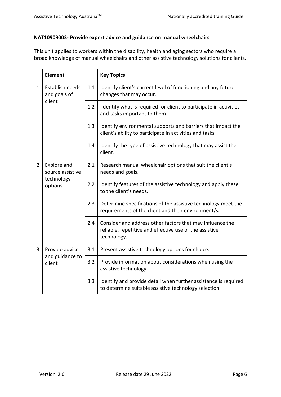## **NAT10909003- Provide expert advice and guidance on manual wheelchairs**

This unit applies to workers within the disability, health and aging sectors who require a broad knowledge of manual wheelchairs and other assistive technology solutions for clients.

|                | <b>Element</b>                                           |     | <b>Key Topics</b>                                                                                                                   |
|----------------|----------------------------------------------------------|-----|-------------------------------------------------------------------------------------------------------------------------------------|
| 1.             | Establish needs<br>and goals of                          | 1.1 | Identify client's current level of functioning and any future<br>changes that may occur.                                            |
|                | client                                                   | 1.2 | Identify what is required for client to participate in activities<br>and tasks important to them.                                   |
|                |                                                          | 1.3 | Identify environmental supports and barriers that impact the<br>client's ability to participate in activities and tasks.            |
|                |                                                          | 1.4 | Identify the type of assistive technology that may assist the<br>client.                                                            |
| $\overline{2}$ | Explore and<br>source assistive<br>technology<br>options | 2.1 | Research manual wheelchair options that suit the client's<br>needs and goals.                                                       |
|                |                                                          | 2.2 | Identify features of the assistive technology and apply these<br>to the client's needs.                                             |
|                |                                                          | 2.3 | Determine specifications of the assistive technology meet the<br>requirements of the client and their environment/s.                |
|                |                                                          | 2.4 | Consider and address other factors that may influence the<br>reliable, repetitive and effective use of the assistive<br>technology. |
| 3              | Provide advice                                           | 3.1 | Present assistive technology options for choice.                                                                                    |
|                | and guidance to<br>client                                | 3.2 | Provide information about considerations when using the<br>assistive technology.                                                    |
|                |                                                          | 3.3 | Identify and provide detail when further assistance is required<br>to determine suitable assistive technology selection.            |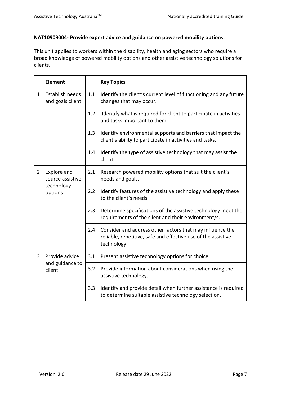## **NAT10909004- Provide expert advice and guidance on powered mobility options.**

This unit applies to workers within the disability, health and aging sectors who require a broad knowledge of powered mobility options and other assistive technology solutions for clients.

|                | <b>Element</b>                      |     | <b>Key Topics</b>                                                                                                                         |
|----------------|-------------------------------------|-----|-------------------------------------------------------------------------------------------------------------------------------------------|
| $\mathbf{1}$   | Establish needs<br>and goals client | 1.1 | Identify the client's current level of functioning and any future<br>changes that may occur.                                              |
|                |                                     | 1.2 | Identify what is required for client to participate in activities<br>and tasks important to them.                                         |
|                |                                     | 1.3 | Identify environmental supports and barriers that impact the<br>client's ability to participate in activities and tasks.                  |
|                |                                     | 1.4 | Identify the type of assistive technology that may assist the<br>client.                                                                  |
| $\overline{2}$ | Explore and<br>source assistive     | 2.1 | Research powered mobility options that suit the client's<br>needs and goals.                                                              |
|                | technology<br>options               | 2.2 | Identify features of the assistive technology and apply these<br>to the client's needs.                                                   |
|                |                                     | 2.3 | Determine specifications of the assistive technology meet the<br>requirements of the client and their environment/s.                      |
|                |                                     | 2.4 | Consider and address other factors that may influence the<br>reliable, repetitive, safe and effective use of the assistive<br>technology. |
| 3              | Provide advice                      | 3.1 | Present assistive technology options for choice.                                                                                          |
|                | and guidance to<br>client           | 3.2 | Provide information about considerations when using the<br>assistive technology.                                                          |
|                |                                     | 3.3 | Identify and provide detail when further assistance is required<br>to determine suitable assistive technology selection.                  |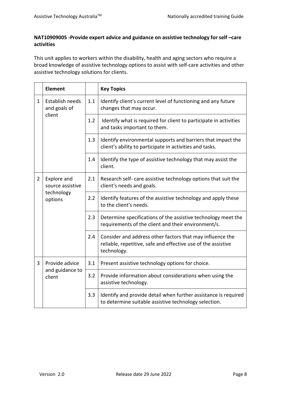## **NAT10909005 -Provide expert advice and guidance on assistive technology for self –care activities**

This unit applies to workers within the disability, health and aging sectors who require a broad knowledge of assistive technology options to assist with self-care activities and other assistive technology solutions for clients.

|                | <b>Element</b>                                           |     | <b>Key Topics</b>                                                                                                                         |
|----------------|----------------------------------------------------------|-----|-------------------------------------------------------------------------------------------------------------------------------------------|
| $\mathbf{1}$   | Establish needs<br>and goals of<br>client                | 1.1 | Identify client's current level of functioning and any future<br>changes that may occur.                                                  |
|                |                                                          | 1.2 | Identify what is required for client to participate in activities<br>and tasks important to them.                                         |
|                |                                                          | 1.3 | Identify environmental supports and barriers that impact the<br>client's ability to participate in activities and tasks.                  |
|                |                                                          | 1.4 | Identify the type of assistive technology that may assist the<br>client.                                                                  |
| $\overline{2}$ | Explore and<br>source assistive<br>technology<br>options | 2.1 | Research self- care assistive technology options that suit the<br>client's needs and goals.                                               |
|                |                                                          | 2.2 | Identify features of the assistive technology and apply these<br>to the client's needs.                                                   |
|                |                                                          | 2.3 | Determine specifications of the assistive technology meet the<br>requirements of the client and their environment/s.                      |
|                |                                                          | 2.4 | Consider and address other factors that may influence the<br>reliable, repetitive, safe and effective use of the assistive<br>technology. |
| 3              | Provide advice                                           | 3.1 | Present assistive technology options for choice.                                                                                          |
|                | and guidance to<br>client                                | 3.2 | Provide information about considerations when using the<br>assistive technology.                                                          |
|                |                                                          | 3.3 | Identify and provide detail when further assistance is required<br>to determine suitable assistive technology selection.                  |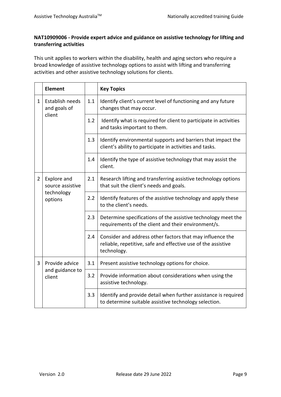## **NAT10909006 - Provide expert advice and guidance on assistive technology for lifting and transferring activities**

This unit applies to workers within the disability, health and aging sectors who require a broad knowledge of assistive technology options to assist with lifting and transferring activities and other assistive technology solutions for clients.

|                | <b>Element</b>                            |     | <b>Key Topics</b>                                                                                                                         |
|----------------|-------------------------------------------|-----|-------------------------------------------------------------------------------------------------------------------------------------------|
| 1              | Establish needs<br>and goals of<br>client | 1.1 | Identify client's current level of functioning and any future<br>changes that may occur.                                                  |
|                |                                           | 1.2 | Identify what is required for client to participate in activities<br>and tasks important to them.                                         |
|                |                                           | 1.3 | Identify environmental supports and barriers that impact the<br>client's ability to participate in activities and tasks.                  |
|                |                                           | 1.4 | Identify the type of assistive technology that may assist the<br>client.                                                                  |
| $\overline{2}$ | Explore and<br>source assistive           | 2.1 | Research lifting and transferring assistive technology options<br>that suit the client's needs and goals.                                 |
|                | technology<br>options                     | 2.2 | Identify features of the assistive technology and apply these<br>to the client's needs.                                                   |
|                |                                           | 2.3 | Determine specifications of the assistive technology meet the<br>requirements of the client and their environment/s.                      |
|                |                                           | 2.4 | Consider and address other factors that may influence the<br>reliable, repetitive, safe and effective use of the assistive<br>technology. |
| $\overline{3}$ | Provide advice                            | 3.1 | Present assistive technology options for choice.                                                                                          |
|                | and guidance to<br>client                 | 3.2 | Provide information about considerations when using the<br>assistive technology.                                                          |
|                |                                           | 3.3 | Identify and provide detail when further assistance is required<br>to determine suitable assistive technology selection.                  |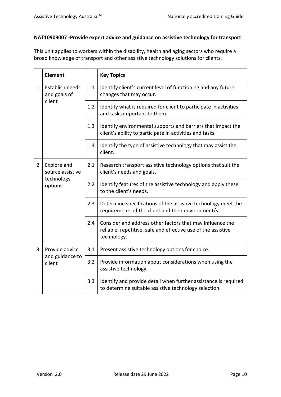## **NAT10909007 -Provide expert advice and guidance on assistive technology for transport**

This unit applies to workers within the disability, health and aging sectors who require a broad knowledge of transport and other assistive technology solutions for clients.

|                | <b>Element</b>                                           |     | <b>Key Topics</b>                                                                                                                         |
|----------------|----------------------------------------------------------|-----|-------------------------------------------------------------------------------------------------------------------------------------------|
| $\mathbf{1}$   | Establish needs<br>and goals of<br>client                | 1.1 | Identify client's current level of functioning and any future<br>changes that may occur.                                                  |
|                |                                                          | 1.2 | Identify what is required for client to participate in activities<br>and tasks important to them.                                         |
|                |                                                          | 1.3 | Identify environmental supports and barriers that impact the<br>client's ability to participate in activities and tasks.                  |
|                |                                                          | 1.4 | Identify the type of assistive technology that may assist the<br>client.                                                                  |
| $\overline{2}$ | Explore and<br>source assistive<br>technology<br>options | 2.1 | Research transport assistive technology options that suit the<br>client's needs and goals.                                                |
|                |                                                          | 2.2 | Identify features of the assistive technology and apply these<br>to the client's needs.                                                   |
|                |                                                          | 2.3 | Determine specifications of the assistive technology meet the<br>requirements of the client and their environment/s.                      |
|                |                                                          | 2.4 | Consider and address other factors that may influence the<br>reliable, repetitive, safe and effective use of the assistive<br>technology. |
| 3              | Provide advice                                           | 3.1 | Present assistive technology options for choice.                                                                                          |
|                | and guidance to<br>client                                | 3.2 | Provide information about considerations when using the<br>assistive technology.                                                          |
|                |                                                          | 3.3 | Identify and provide detail when further assistance is required<br>to determine suitable assistive technology selection.                  |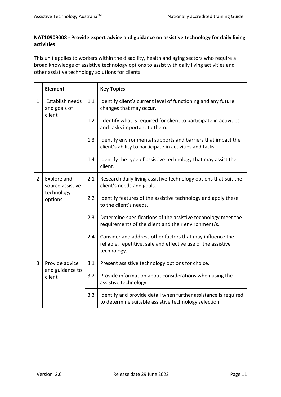## **NAT10909008 - Provide expert advice and guidance on assistive technology for daily living activities**

This unit applies to workers within the disability, health and aging sectors who require a broad knowledge of assistive technology options to assist with daily living activities and other assistive technology solutions for clients.

|                | <b>Element</b>                                           |     | <b>Key Topics</b>                                                                                                                         |
|----------------|----------------------------------------------------------|-----|-------------------------------------------------------------------------------------------------------------------------------------------|
| $\mathbf{1}$   | Establish needs<br>and goals of<br>client                | 1.1 | Identify client's current level of functioning and any future<br>changes that may occur.                                                  |
|                |                                                          | 1.2 | Identify what is required for client to participate in activities<br>and tasks important to them.                                         |
|                |                                                          | 1.3 | Identify environmental supports and barriers that impact the<br>client's ability to participate in activities and tasks.                  |
|                |                                                          | 1.4 | Identify the type of assistive technology that may assist the<br>client.                                                                  |
| $\overline{2}$ | Explore and<br>source assistive<br>technology<br>options | 2.1 | Research daily living assistive technology options that suit the<br>client's needs and goals.                                             |
|                |                                                          | 2.2 | Identify features of the assistive technology and apply these<br>to the client's needs.                                                   |
|                |                                                          | 2.3 | Determine specifications of the assistive technology meet the<br>requirements of the client and their environment/s.                      |
|                |                                                          | 2.4 | Consider and address other factors that may influence the<br>reliable, repetitive, safe and effective use of the assistive<br>technology. |
| $\overline{3}$ | Provide advice                                           | 3.1 | Present assistive technology options for choice.                                                                                          |
|                | and guidance to<br>client                                | 3.2 | Provide information about considerations when using the<br>assistive technology.                                                          |
|                |                                                          | 3.3 | Identify and provide detail when further assistance is required<br>to determine suitable assistive technology selection.                  |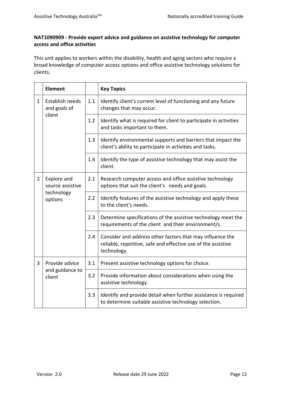## **NAT1090909 - Provide expert advice and guidance on assistive technology for computer access and office activities**

This unit applies to workers within the disability, health and aging sectors who require a broad knowledge of computer access options and office assistive technology solutions for clients.

|                | <b>Element</b>                                           |     | <b>Key Topics</b>                                                                                                                         |
|----------------|----------------------------------------------------------|-----|-------------------------------------------------------------------------------------------------------------------------------------------|
| 1              | Establish needs<br>and goals of<br>client                | 1.1 | Identify client's current level of functioning and any future<br>changes that may occur.                                                  |
|                |                                                          | 1.2 | Identify what is required for client to participate in activities<br>and tasks important to them.                                         |
|                |                                                          | 1.3 | Identify environmental supports and barriers that impact the<br>client's ability to participate in activities and tasks.                  |
|                |                                                          | 1.4 | Identify the type of assistive technology that may assist the<br>client.                                                                  |
| $\overline{2}$ | Explore and<br>source assistive<br>technology<br>options | 2.1 | Research computer access and office assistive technology<br>options that suit the client's needs and goals.                               |
|                |                                                          | 2.2 | Identify features of the assistive technology and apply these<br>to the client's needs.                                                   |
|                |                                                          | 2.3 | Determine specifications of the assistive technology meet the<br>requirements of the client and their environment/s.                      |
|                |                                                          | 2.4 | Consider and address other factors that may influence the<br>reliable, repetitive, safe and effective use of the assistive<br>technology. |
| 3              | Provide advice                                           | 3.1 | Present assistive technology options for choice.                                                                                          |
|                | and guidance to<br>client                                | 3.2 | Provide information about considerations when using the<br>assistive technology.                                                          |
|                |                                                          | 3.3 | Identify and provide detail when further assistance is required<br>to determine suitable assistive technology selection.                  |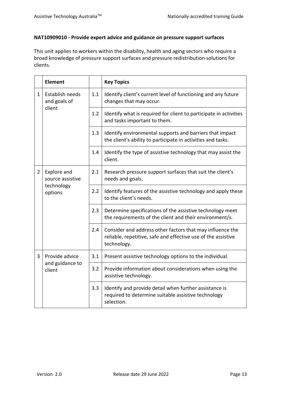## **NAT10909010 - Provide expert advice and guidance on pressure support surfaces**

This unit applies to workers within the disability, health and aging sectors who require a broad knowledge of pressure support surfaces and pressure redistribution solutions for clients.

|                | <b>Element</b>                  |     | <b>Key Topics</b>                                                                                                                         |
|----------------|---------------------------------|-----|-------------------------------------------------------------------------------------------------------------------------------------------|
| $\mathbf{1}$   | Establish needs<br>and goals of | 1.1 | Identify client's current level of functioning and any future<br>changes that may occur.                                                  |
|                | client                          | 1.2 | Identify what is required for client to participate in activities<br>and tasks important to them.                                         |
|                |                                 | 1.3 | Identify environmental supports and barriers that impact<br>the client's ability to participate in activities and tasks.                  |
|                |                                 | 1.4 | Identify the type of assistive technology that may assist the<br>client.                                                                  |
| $\overline{2}$ | Explore and<br>source assistive | 2.1 | Research pressure support surfaces that suit the client's<br>needs and goals.                                                             |
|                | technology<br>options           | 2.2 | Identify features of the assistive technology and apply these<br>to the client's needs.                                                   |
|                |                                 | 2.3 | Determine specifications of the assistive technology meet<br>the requirements of the client and their environment/s.                      |
|                |                                 | 2.4 | Consider and address other factors that may influence the<br>reliable, repetitive, safe and effective use of the assistive<br>technology. |
| 3              | Provide advice                  | 3.1 | Present assistive technology options to the individual.                                                                                   |
|                | and guidance to<br>client       | 3.2 | Provide information about considerations when using the<br>assistive technology.                                                          |
|                |                                 | 3.3 | Identify and provide detail when further assistance is<br>required to determine suitable assistive technology<br>selection.               |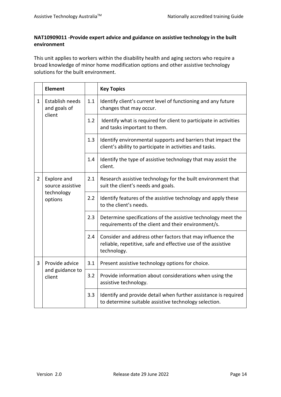## **NAT10909011 -Provide expert advice and guidance on assistive technology in the built environment**

This unit applies to workers within the disability health and aging sectors who require a broad knowledge of minor home modification options and other assistive technology solutions for the built environment.

|                | <b>Element</b>                                           |     | <b>Key Topics</b>                                                                                                                         |  |  |  |  |  |
|----------------|----------------------------------------------------------|-----|-------------------------------------------------------------------------------------------------------------------------------------------|--|--|--|--|--|
| $\mathbf{1}$   | Establish needs<br>and goals of<br>client                | 1.1 | Identify client's current level of functioning and any future<br>changes that may occur.                                                  |  |  |  |  |  |
|                |                                                          | 1.2 | Identify what is required for client to participate in activities<br>and tasks important to them.                                         |  |  |  |  |  |
|                |                                                          | 1.3 | Identify environmental supports and barriers that impact the<br>client's ability to participate in activities and tasks.                  |  |  |  |  |  |
|                |                                                          | 1.4 | Identify the type of assistive technology that may assist the<br>client.                                                                  |  |  |  |  |  |
| $\overline{2}$ | Explore and<br>source assistive<br>technology<br>options | 2.1 | Research assistive technology for the built environment that<br>suit the client's needs and goals.                                        |  |  |  |  |  |
|                |                                                          | 2.2 | Identify features of the assistive technology and apply these<br>to the client's needs.                                                   |  |  |  |  |  |
|                |                                                          | 2.3 | Determine specifications of the assistive technology meet the<br>requirements of the client and their environment/s.                      |  |  |  |  |  |
|                |                                                          | 2.4 | Consider and address other factors that may influence the<br>reliable, repetitive, safe and effective use of the assistive<br>technology. |  |  |  |  |  |
| 3              | Provide advice<br>and guidance to<br>client              | 3.1 | Present assistive technology options for choice.                                                                                          |  |  |  |  |  |
|                |                                                          | 3.2 | Provide information about considerations when using the<br>assistive technology.                                                          |  |  |  |  |  |
|                |                                                          | 3.3 | Identify and provide detail when further assistance is required<br>to determine suitable assistive technology selection.                  |  |  |  |  |  |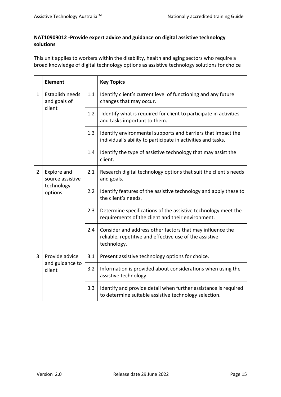## **NAT10909012 -Provide expert advice and guidance on digital assistive technology solutions**

This unit applies to workers within the disability, health and aging sectors who require a broad knowledge of digital technology options as assistive technology solutions for choice

|                | <b>Element</b>                                           |     | <b>Key Topics</b>                                                                                                                   |  |  |  |  |
|----------------|----------------------------------------------------------|-----|-------------------------------------------------------------------------------------------------------------------------------------|--|--|--|--|
| $\mathbf{1}$   | Establish needs<br>and goals of<br>client                | 1.1 | Identify client's current level of functioning and any future<br>changes that may occur.                                            |  |  |  |  |
|                |                                                          | 1.2 | Identify what is required for client to participate in activities<br>and tasks important to them.                                   |  |  |  |  |
|                |                                                          | 1.3 | Identify environmental supports and barriers that impact the<br>individual's ability to participate in activities and tasks.        |  |  |  |  |
|                |                                                          | 1.4 | Identify the type of assistive technology that may assist the<br>client.                                                            |  |  |  |  |
| $\overline{2}$ | Explore and<br>source assistive<br>technology<br>options | 2.1 | Research digital technology options that suit the client's needs<br>and goals.                                                      |  |  |  |  |
|                |                                                          | 2.2 | Identify features of the assistive technology and apply these to<br>the client's needs.                                             |  |  |  |  |
|                |                                                          | 2.3 | Determine specifications of the assistive technology meet the<br>requirements of the client and their environment.                  |  |  |  |  |
|                |                                                          | 2.4 | Consider and address other factors that may influence the<br>reliable, repetitive and effective use of the assistive<br>technology. |  |  |  |  |
| 3              | Provide advice<br>and guidance to<br>client              | 3.1 | Present assistive technology options for choice.                                                                                    |  |  |  |  |
|                |                                                          | 3.2 | Information is provided about considerations when using the<br>assistive technology.                                                |  |  |  |  |
|                |                                                          | 3.3 | Identify and provide detail when further assistance is required<br>to determine suitable assistive technology selection.            |  |  |  |  |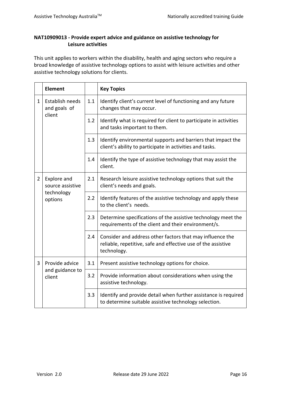## **NAT10909013 - Provide expert advice and guidance on assistive technology for Leisure activities**

This unit applies to workers within the disability, health and aging sectors who require a broad knowledge of assistive technology options to assist with leisure activities and other assistive technology solutions for clients.

|                | <b>Element</b>                                           |     | <b>Key Topics</b>                                                                                                                         |  |  |  |  |  |
|----------------|----------------------------------------------------------|-----|-------------------------------------------------------------------------------------------------------------------------------------------|--|--|--|--|--|
| $\mathbf{1}$   | Establish needs<br>and goals of<br>client                | 1.1 | Identify client's current level of functioning and any future<br>changes that may occur.                                                  |  |  |  |  |  |
|                |                                                          | 1.2 | Identify what is required for client to participate in activities<br>and tasks important to them.                                         |  |  |  |  |  |
|                |                                                          | 1.3 | Identify environmental supports and barriers that impact the<br>client's ability to participate in activities and tasks.                  |  |  |  |  |  |
|                |                                                          | 1.4 | Identify the type of assistive technology that may assist the<br>client.                                                                  |  |  |  |  |  |
| $\overline{2}$ | Explore and<br>source assistive<br>technology<br>options | 2.1 | Research leisure assistive technology options that suit the<br>client's needs and goals.                                                  |  |  |  |  |  |
|                |                                                          | 2.2 | Identify features of the assistive technology and apply these<br>to the client's needs.                                                   |  |  |  |  |  |
|                |                                                          | 2.3 | Determine specifications of the assistive technology meet the<br>requirements of the client and their environment/s.                      |  |  |  |  |  |
|                |                                                          | 2.4 | Consider and address other factors that may influence the<br>reliable, repetitive, safe and effective use of the assistive<br>technology. |  |  |  |  |  |
| 3              | Provide advice<br>and guidance to<br>client              | 3.1 | Present assistive technology options for choice.                                                                                          |  |  |  |  |  |
|                |                                                          | 3.2 | Provide information about considerations when using the<br>assistive technology.                                                          |  |  |  |  |  |
|                |                                                          | 3.3 | Identify and provide detail when further assistance is required<br>to determine suitable assistive technology selection.                  |  |  |  |  |  |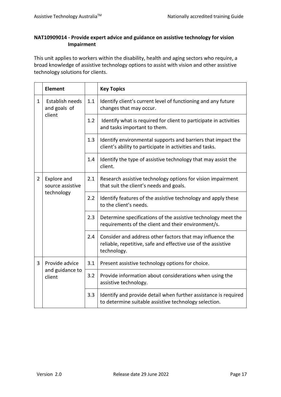## **NAT10909014 - Provide expert advice and guidance on assistive technology for vision Impairment**

This unit applies to workers within the disability, health and aging sectors who require, a broad knowledge of assistive technology options to assist with vision and other assistive technology solutions for clients.

|                | <b>Element</b>                                |     | <b>Key Topics</b>                                                                                                                         |  |  |  |  |
|----------------|-----------------------------------------------|-----|-------------------------------------------------------------------------------------------------------------------------------------------|--|--|--|--|
| $\mathbf{1}$   | Establish needs<br>and goals of<br>client     | 1.1 | Identify client's current level of functioning and any future<br>changes that may occur.                                                  |  |  |  |  |
|                |                                               | 1.2 | Identify what is required for client to participate in activities<br>and tasks important to them.                                         |  |  |  |  |
|                |                                               | 1.3 | Identify environmental supports and barriers that impact the<br>client's ability to participate in activities and tasks.                  |  |  |  |  |
|                |                                               | 1.4 | Identify the type of assistive technology that may assist the<br>client.                                                                  |  |  |  |  |
| $\overline{2}$ | Explore and<br>source assistive<br>technology | 2.1 | Research assistive technology options for vision impairment<br>that suit the client's needs and goals.                                    |  |  |  |  |
|                |                                               | 2.2 | Identify features of the assistive technology and apply these<br>to the client's needs.                                                   |  |  |  |  |
|                |                                               | 2.3 | Determine specifications of the assistive technology meet the<br>requirements of the client and their environment/s.                      |  |  |  |  |
|                |                                               | 2.4 | Consider and address other factors that may influence the<br>reliable, repetitive, safe and effective use of the assistive<br>technology. |  |  |  |  |
| 3              | Provide advice<br>and guidance to<br>client   | 3.1 | Present assistive technology options for choice.                                                                                          |  |  |  |  |
|                |                                               | 3.2 | Provide information about considerations when using the<br>assistive technology.                                                          |  |  |  |  |
|                |                                               | 3.3 | Identify and provide detail when further assistance is required<br>to determine suitable assistive technology selection.                  |  |  |  |  |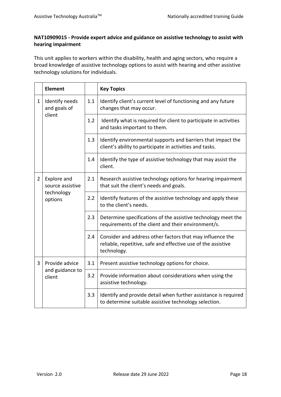## **NAT10909015 - Provide expert advice and guidance on assistive technology to assist with hearing impairment**

This unit applies to workers within the disability, health and aging sectors, who require a broad knowledge of assistive technology options to assist with hearing and other assistive technology solutions for individuals.

|                | <b>Element</b>                                           |     | <b>Key Topics</b>                                                                                                                         |  |  |  |  |  |
|----------------|----------------------------------------------------------|-----|-------------------------------------------------------------------------------------------------------------------------------------------|--|--|--|--|--|
| $\mathbf{1}$   | Identify needs<br>and goals of<br>client                 | 1.1 | Identify client's current level of functioning and any future<br>changes that may occur.                                                  |  |  |  |  |  |
|                |                                                          | 1.2 | Identify what is required for client to participate in activities<br>and tasks important to them.                                         |  |  |  |  |  |
|                |                                                          | 1.3 | Identify environmental supports and barriers that impact the<br>client's ability to participate in activities and tasks.                  |  |  |  |  |  |
|                |                                                          | 1.4 | Identify the type of assistive technology that may assist the<br>client.                                                                  |  |  |  |  |  |
| $\overline{2}$ | Explore and<br>source assistive<br>technology<br>options | 2.1 | Research assistive technology options for hearing impairment<br>that suit the client's needs and goals.                                   |  |  |  |  |  |
|                |                                                          | 2.2 | Identify features of the assistive technology and apply these<br>to the client's needs.                                                   |  |  |  |  |  |
|                |                                                          | 2.3 | Determine specifications of the assistive technology meet the<br>requirements of the client and their environment/s.                      |  |  |  |  |  |
|                |                                                          | 2.4 | Consider and address other factors that may influence the<br>reliable, repetitive, safe and effective use of the assistive<br>technology. |  |  |  |  |  |
| 3              | Provide advice<br>and guidance to<br>client              | 3.1 | Present assistive technology options for choice.                                                                                          |  |  |  |  |  |
|                |                                                          | 3.2 | Provide information about considerations when using the<br>assistive technology.                                                          |  |  |  |  |  |
|                |                                                          | 3.3 | Identify and provide detail when further assistance is required<br>to determine suitable assistive technology selection.                  |  |  |  |  |  |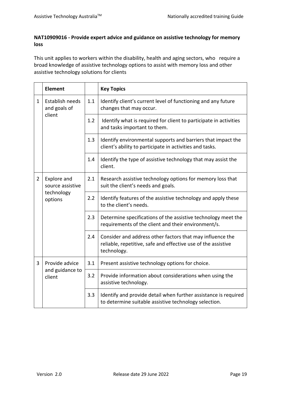## **NAT10909016 - Provide expert advice and guidance on assistive technology for memory loss**

This unit applies to workers within the disability, health and aging sectors, who require a broad knowledge of assistive technology options to assist with memory loss and other assistive technology solutions for clients

|                | <b>Element</b>                                           |     | <b>Key Topics</b>                                                                                                                         |  |  |  |  |
|----------------|----------------------------------------------------------|-----|-------------------------------------------------------------------------------------------------------------------------------------------|--|--|--|--|
| $\mathbf{1}$   | Establish needs<br>and goals of<br>client                | 1.1 | Identify client's current level of functioning and any future<br>changes that may occur.                                                  |  |  |  |  |
|                |                                                          | 1.2 | Identify what is required for client to participate in activities<br>and tasks important to them.                                         |  |  |  |  |
|                |                                                          | 1.3 | Identify environmental supports and barriers that impact the<br>client's ability to participate in activities and tasks.                  |  |  |  |  |
|                |                                                          | 1.4 | Identify the type of assistive technology that may assist the<br>client.                                                                  |  |  |  |  |
| $\overline{2}$ | Explore and<br>source assistive<br>technology<br>options | 2.1 | Research assistive technology options for memory loss that<br>suit the client's needs and goals.                                          |  |  |  |  |
|                |                                                          | 2.2 | Identify features of the assistive technology and apply these<br>to the client's needs.                                                   |  |  |  |  |
|                |                                                          | 2.3 | Determine specifications of the assistive technology meet the<br>requirements of the client and their environment/s.                      |  |  |  |  |
|                |                                                          | 2.4 | Consider and address other factors that may influence the<br>reliable, repetitive, safe and effective use of the assistive<br>technology. |  |  |  |  |
| 3              | Provide advice<br>and guidance to<br>client              | 3.1 | Present assistive technology options for choice.                                                                                          |  |  |  |  |
|                |                                                          | 3.2 | Provide information about considerations when using the<br>assistive technology.                                                          |  |  |  |  |
|                |                                                          | 3.3 | Identify and provide detail when further assistance is required<br>to determine suitable assistive technology selection.                  |  |  |  |  |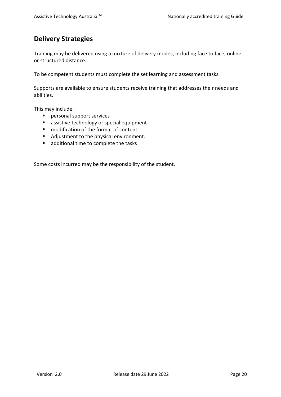# <span id="page-22-0"></span>**Delivery Strategies**

Training may be delivered using a mixture of delivery modes, including face to face, online or structured distance.

To be competent students must complete the set learning and assessment tasks.

Supports are available to ensure students receive training that addresses their needs and abilities.

This may include:

- personal support services
- **assistive technology or special equipment**
- modification of the format of content
- Adjustment to the physical environment.
- **additional time to complete the tasks**

Some costs incurred may be the responsibility of the student.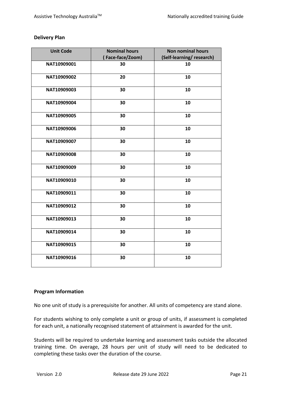### **Delivery Plan**

| <b>Unit Code</b> | <b>Nominal hours</b><br>(Face-face/Zoom) | <b>Non nominal hours</b><br>(Self-learning/research) |
|------------------|------------------------------------------|------------------------------------------------------|
| NAT10909001      | 30                                       | 10                                                   |
| NAT10909002      | 20                                       | 10                                                   |
| NAT10909003      | 30                                       | 10                                                   |
| NAT10909004      | 30                                       | 10                                                   |
| NAT10909005      | 30                                       | 10                                                   |
| NAT10909006      | 30                                       | 10                                                   |
| NAT10909007      | 30                                       | 10                                                   |
| NAT10909008      | 30                                       | 10                                                   |
| NAT10909009      | 30                                       | 10                                                   |
| NAT10909010      | 30                                       | 10                                                   |
| NAT10909011      | 30                                       | 10                                                   |
| NAT10909012      | 30                                       | 10                                                   |
| NAT10909013      | 30                                       | 10                                                   |
| NAT10909014      | 30                                       | 10                                                   |
| NAT10909015      | 30                                       | 10                                                   |
| NAT10909016      | 30                                       | 10                                                   |

#### **Program Information**

No one unit of study is a prerequisite for another. All units of competency are stand alone.

For students wishing to only complete a unit or group of units, if assessment is completed for each unit, a nationally recognised statement of attainment is awarded for the unit.

Students will be required to undertake learning and assessment tasks outside the allocated training time. On average, 28 hours per unit of study will need to be dedicated to completing these tasks over the duration of the course.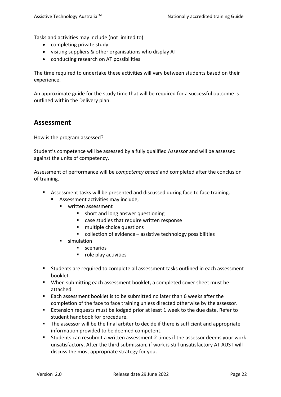Tasks and activities may include (not limited to)

- completing private study
- visiting suppliers & other organisations who display AT
- conducting research on AT possibilities

The time required to undertake these activities will vary between students based on their experience.

An approximate guide for the study time that will be required for a successful outcome is outlined within the Delivery plan.

## <span id="page-24-0"></span>**Assessment**

How is the program assessed?

Student's competence will be assessed by a fully qualified Assessor and will be assessed against the units of competency.

Assessment of performance will be *competency based* and completed after the conclusion of training.

- Assessment tasks will be presented and discussed during face to face training.
	- **Assessment activities may include,** 
		- written assessment
			- **short and long answer questioning**
			- case studies that require written response
			- multiple choice questions
			- collection of evidence assistive technology possibilities
		- simulation
			- **scenarios**
			- role play activities
- **Students are required to complete all assessment tasks outlined in each assessment** booklet.
- When submitting each assessment booklet, a completed cover sheet must be attached.
- Each assessment booklet is to be submitted no later than 6 weeks after the completion of the face to face training unless directed otherwise by the assessor.
- Extension requests must be lodged prior at least 1 week to the due date. Refer to student handbook for procedure.
- The assessor will be the final arbiter to decide if there is sufficient and appropriate information provided to be deemed competent.
- Students can resubmit a written assessment 2 times if the assessor deems your work unsatisfactory. After the third submission, if work is still unsatisfactory AT AUST will discuss the most appropriate strategy for you.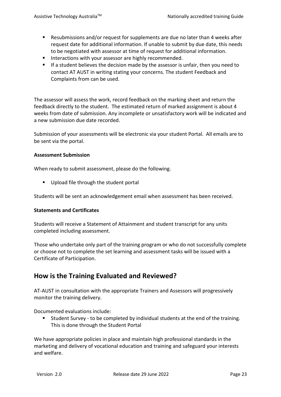- Resubmissions and/or request for supplements are due no later than 4 weeks after request date for additional information. If unable to submit by due date, this needs to be negotiated with assessor at time of request for additional information.
- **IF Interactions with your assessor are highly recommended.**
- **If a student believes the decision made by the assessor is unfair, then you need to** contact AT AUST in writing stating your concerns. The student Feedback and Complaints from can be used.

The assessor will assess the work, record feedback on the marking sheet and return the feedback directly to the student. The estimated return of marked assignment is about 4 weeks from date of submission. Any incomplete or unsatisfactory work will be indicated and a new submission due date recorded.

Submission of your assessments will be electronic via your student Portal. All emails are to be sent via the portal.

#### **Assessment Submission**

When ready to submit assessment, please do the following.

Upload file through the student portal

Students will be sent an acknowledgement email when assessment has been received.

#### **Statements and Certificates**

Students will receive a Statement of Attainment and student transcript for any units completed including assessment.

Those who undertake only part of the training program or who do not successfully complete or choose not to complete the set learning and assessment tasks will be issued with a Certificate of Participation.

## <span id="page-25-0"></span>**How is the Training Evaluated and Reviewed?**

AT-AUST in consultation with the appropriate Trainers and Assessors will progressively monitor the training delivery.

Documented evaluations include:

 Student Survey - to be completed by individual students at the end of the training. This is done through the Student Portal

We have appropriate policies in place and maintain high professional standards in the marketing and delivery of vocational education and training and safeguard your interests and welfare.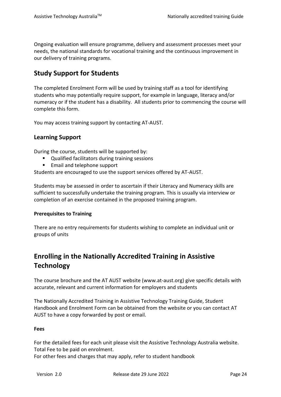Ongoing evaluation will ensure programme, delivery and assessment processes meet your needs, the national standards for vocational training and the continuous improvement in our delivery of training programs.

# <span id="page-26-0"></span>**Study Support for Students**

The completed Enrolment Form will be used by training staff as a tool for identifying students who may potentially require support, for example in language, literacy and/or numeracy or if the student has a disability. All students prior to commencing the course will complete this form.

You may access training support by contacting AT-AUST.

## **Learning Support**

During the course, students will be supported by:

- Qualified facilitators during training sessions
- Email and telephone support

Students are encouraged to use the support services offered by AT-AUST.

Students may be assessed in order to ascertain if their Literacy and Numeracy skills are sufficient to successfully undertake the training program. This is usually via interview or completion of an exercise contained in the proposed training program.

#### **Prerequisites to Training**

There are no entry requirements for students wishing to complete an individual unit or groups of units

# <span id="page-26-1"></span>**Enrolling in the Nationally Accredited Training in Assistive Technology**

The course brochure and the AT AUST website (www.at-aust.org) give specific details with accurate, relevant and current information for employers and students

The Nationally Accredited Training in Assistive Technology Training Guide, Student Handbook and Enrolment Form can be obtained from the website or you can contact AT AUST to have a copy forwarded by post or email.

#### **Fees**

For the detailed fees for each unit please visit the Assistive Technology Australia website. Total Fee to be paid on enrolment.

For other fees and charges that may apply, refer to student handbook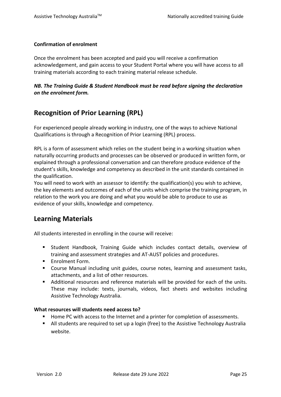### **Confirmation of enrolment**

Once the enrolment has been accepted and paid you will receive a confirmation acknowledgement, and gain access to your Student Portal where you will have access to all training materials according to each training material release schedule.

## *NB. The Training Guide & Student Handbook must be read before signing the declaration on the enrolment form.*

# <span id="page-27-0"></span>**Recognition of Prior Learning (RPL)**

For experienced people already working in industry, one of the ways to achieve National Qualifications is through a Recognition of Prior Learning (RPL) process.

RPL is a form of assessment which relies on the student being in a working situation when naturally occurring products and processes can be observed or produced in written form, or explained through a professional conversation and can therefore produce evidence of the student's skills, knowledge and competency as described in the unit standards contained in the qualification.

You will need to work with an assessor to identify: the qualification(s) you wish to achieve, the key elements and outcomes of each of the units which comprise the training program, in relation to the work you are doing and what you would be able to produce to use as evidence of your skills, knowledge and competency.

# <span id="page-27-1"></span>**Learning Materials**

All students interested in enrolling in the course will receive:

- Student Handbook, Training Guide which includes contact details, overview of training and assessment strategies and AT-AUST policies and procedures.
- **Enrolment Form.**
- Course Manual including unit guides, course notes, learning and assessment tasks, attachments, and a list of other resources.
- Additional resources and reference materials will be provided for each of the units. These may include: texts, journals, videos, fact sheets and websites including Assistive Technology Australia.

#### **What resources will students need access to?**

- Home PC with access to the Internet and a printer for completion of assessments.
- All students are required to set up a login (free) to the Assistive Technology Australia website.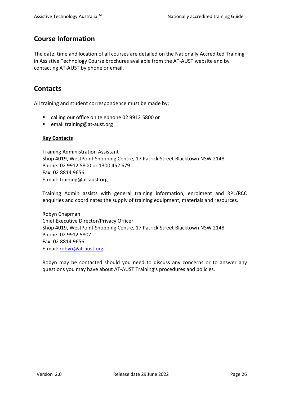# <span id="page-28-0"></span>**Course Information**

The date, time and location of all courses are detailed on the Nationally Accredited Training in Assistive Technology Course brochures available from the AT-AUST website and by contacting AT-AUST by phone or email.

# <span id="page-28-1"></span>**Contacts**

All training and student correspondence must be made by;

- calling our office on telephone 02 9912 5800 or
- email training@at-aust.org

### **Key Contacts**

Training Administration Assistant Shop 4019, WestPoint Shopping Centre, 17 Patrick Street Blacktown NSW 2148 Phone: 02 9912 5800 or 1300 452 679 Fax: 02 8814 9656 E-mail: training@at-aust.org

Training Admin assists with general training information, enrolment and RPL/RCC enquiries and coordinates the supply of training equipment, materials and resources.

Robyn Chapman Chief Executive Director/Privacy Officer Shop 4019, WestPoint Shopping Centre, 17 Patrick Street Blacktown NSW 2148 Phone: 02 9912 5807 Fax: 02 8814 9656 E-mail: [robyn@at-aust.org](mailto:robyn@at-aust.org)

Robyn may be contacted should you need to discuss any concerns or to answer any questions you may have about AT-AUST Training's procedures and policies.